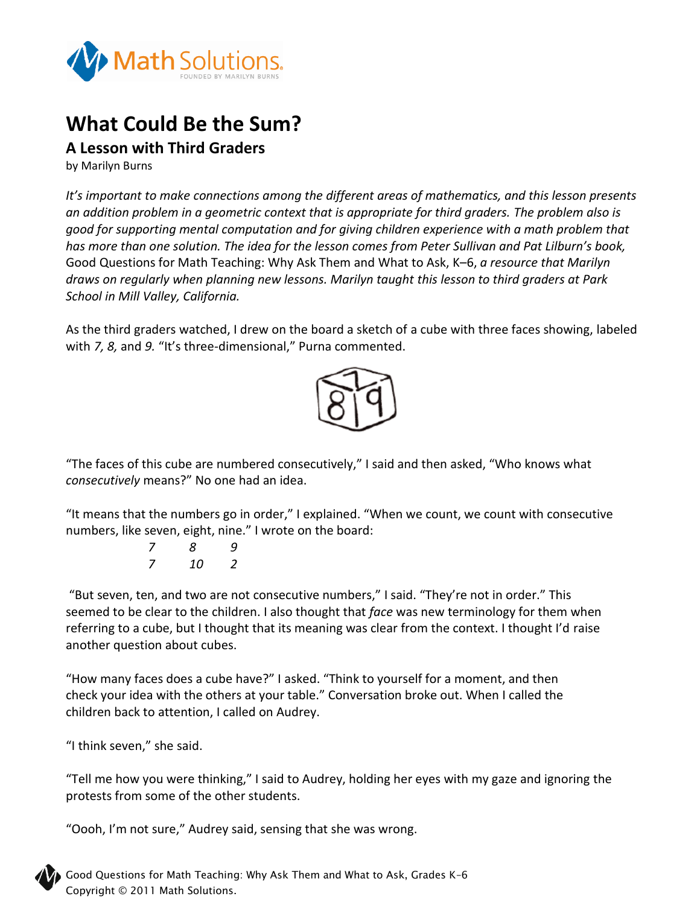

## **What Could Be the Sum?**

## **A Lesson with Third Graders**

by Marilyn Burns

*It's important to make connections among the different areas of mathematics, and this lesson presents an addition problem in a geometric context that is appropriate for third graders. The problem also is good for supporting mental computation and for giving children experience with a math problem that has more than one solution. The idea for the lesson comes from Peter Sullivan and Pat Lilburn's book,*  Good Questions for Math Teaching: Why Ask Them and What to Ask, K–6, *a resource that Marilyn draws on regularly when planning new lessons. Marilyn taught this lesson to third graders at Park School in Mill Valley, California.*

As the third graders watched, I drew on the board a sketch of a cube with three faces showing, labeled with *7, 8,* and *9.* "It's three-dimensional," Purna commented.



"The faces of this cube are numbered consecutively," I said and then asked, "Who knows what *consecutively* means?" No one had an idea.

"It means that the numbers go in order," I explained. "When we count, we count with consecutive numbers, like seven, eight, nine." I wrote on the board:

> *7 8 9 7 10 2*

"But seven, ten, and two are not consecutive numbers," I said. "They're not in order." This seemed to be clear to the children. I also thought that *face* was new terminology for them when referring to a cube, but I thought that its meaning was clear from the context. I thought I'd raise another question about cubes.

"How many faces does a cube have?" I asked. "Think to yourself for a moment, and then check your idea with the others at your table." Conversation broke out. When I called the children back to attention, I called on Audrey.

"I think seven," she said.

"Tell me how you were thinking," I said to Audrey, holding her eyes with my gaze and ignoring the protests from some of the other students.

"Oooh, I'm not sure," Audrey said, sensing that she was wrong.



Good Questions for Math Teaching: Why Ask Them and What to Ask, Grades K–6 Copyright © 2011 Math Solutions.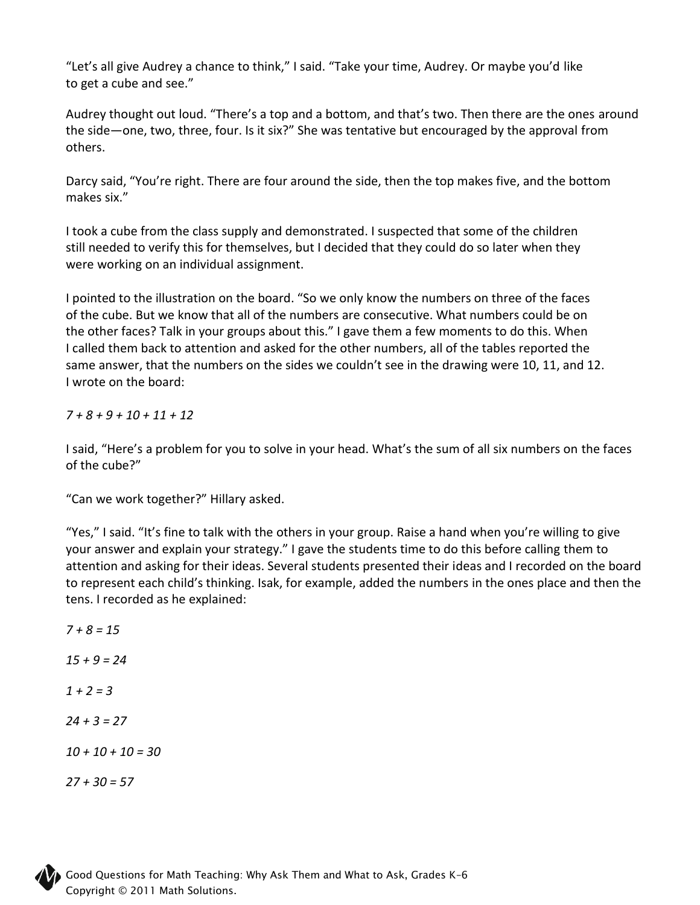"Let's all give Audrey a chance to think," I said. "Take your time, Audrey. Or maybe you'd like to get a cube and see."

Audrey thought out loud. "There's a top and a bottom, and that's two. Then there are the ones around the side—one, two, three, four. Is it six?" She was tentative but encouraged by the approval from others.

Darcy said, "You're right. There are four around the side, then the top makes five, and the bottom makes six."

I took a cube from the class supply and demonstrated. I suspected that some of the children still needed to verify this for themselves, but I decided that they could do so later when they were working on an individual assignment.

I pointed to the illustration on the board. "So we only know the numbers on three of the faces of the cube. But we know that all of the numbers are consecutive. What numbers could be on the other faces? Talk in your groups about this." I gave them a few moments to do this. When I called them back to attention and asked for the other numbers, all of the tables reported the same answer, that the numbers on the sides we couldn't see in the drawing were 10, 11, and 12. I wrote on the board:

*7 + 8 + 9 + 10 + 11 + 12*

I said, "Here's a problem for you to solve in your head. What's the sum of all six numbers on the faces of the cube?"

"Can we work together?" Hillary asked.

"Yes," I said. "It's fine to talk with the others in your group. Raise a hand when you're willing to give your answer and explain your strategy." I gave the students time to do this before calling them to attention and asking for their ideas. Several students presented their ideas and I recorded on the board to represent each child's thinking. Isak, for example, added the numbers in the ones place and then the tens. I recorded as he explained:

*7 + 8 = 15 15 + 9 = 24 1 + 2 = 3 24 + 3 = 27 10 + 10 + 10 = 30 27 + 30 = 57*

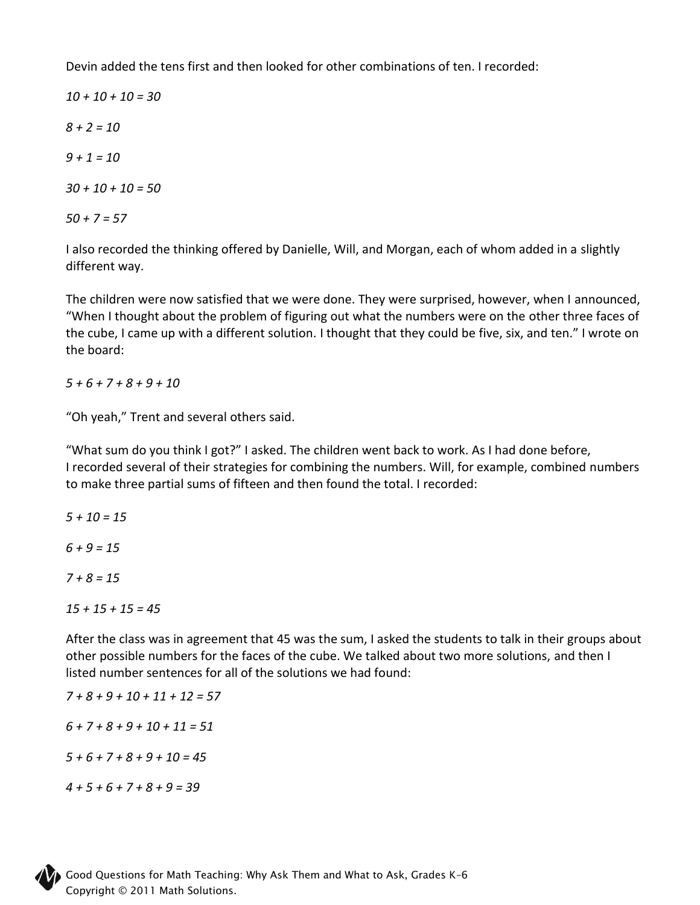Devin added the tens first and then looked for other combinations of ten. I recorded:

*10 + 10 + 10 = 30 8 + 2 = 10 9 + 1 = 10 30 + 10 + 10 = 50 50 + 7 = 57*

I also recorded the thinking offered by Danielle, Will, and Morgan, each of whom added in a slightly different way.

The children were now satisfied that we were done. They were surprised, however, when I announced, "When I thought about the problem of figuring out what the numbers were on the other three faces of the cube, I came up with a different solution. I thought that they could be five, six, and ten." I wrote on the board:

*5 + 6 + 7 + 8 + 9 + 10*

"Oh yeah," Trent and several others said.

"What sum do you think I got?" I asked. The children went back to work. As I had done before, I recorded several of their strategies for combining the numbers. Will, for example, combined numbers to make three partial sums of fifteen and then found the total. I recorded:

*5 + 10 = 15 6 + 9 = 15 7 + 8 = 15*

*15 + 15 + 15 = 45*

After the class was in agreement that 45 was the sum, I asked the students to talk in their groups about other possible numbers for the faces of the cube. We talked about two more solutions, and then I listed number sentences for all of the solutions we had found:

*7 + 8 + 9 + 10 + 11 + 12 = 57 6 + 7 + 8 + 9 + 10 + 11 = 51*

*5 + 6 + 7 + 8 + 9 + 10 = 45*

*4 + 5 + 6 + 7 + 8 + 9 = 39*